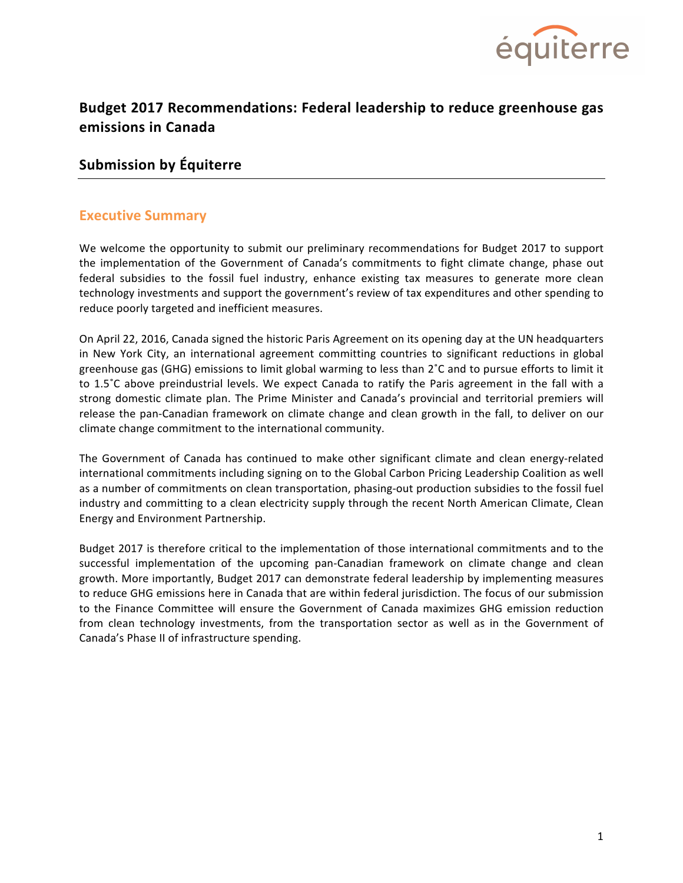

# **Budget 2017 Recommendations: Federal leadership to reduce greenhouse gas emissions in Canada**

# **Submission by Équiterre**

## **Executive Summary**

We welcome the opportunity to submit our preliminary recommendations for Budget 2017 to support the implementation of the Government of Canada's commitments to fight climate change, phase out federal subsidies to the fossil fuel industry, enhance existing tax measures to generate more clean technology investments and support the government's review of tax expenditures and other spending to reduce poorly targeted and inefficient measures.

On April 22, 2016, Canada signed the historic Paris Agreement on its opening day at the UN headquarters in New York City, an international agreement committing countries to significant reductions in global greenhouse gas (GHG) emissions to limit global warming to less than  $2^{\circ}C$  and to pursue efforts to limit it to  $1.5^{\circ}$ C above preindustrial levels. We expect Canada to ratify the Paris agreement in the fall with a strong domestic climate plan. The Prime Minister and Canada's provincial and territorial premiers will release the pan-Canadian framework on climate change and clean growth in the fall, to deliver on our climate change commitment to the international community.

The Government of Canada has continued to make other significant climate and clean energy-related international commitments including signing on to the Global Carbon Pricing Leadership Coalition as well as a number of commitments on clean transportation, phasing-out production subsidies to the fossil fuel industry and committing to a clean electricity supply through the recent North American Climate, Clean Energy and Environment Partnership.

Budget 2017 is therefore critical to the implementation of those international commitments and to the successful implementation of the upcoming pan-Canadian framework on climate change and clean growth. More importantly, Budget 2017 can demonstrate federal leadership by implementing measures to reduce GHG emissions here in Canada that are within federal jurisdiction. The focus of our submission to the Finance Committee will ensure the Government of Canada maximizes GHG emission reduction from clean technology investments, from the transportation sector as well as in the Government of Canada's Phase II of infrastructure spending.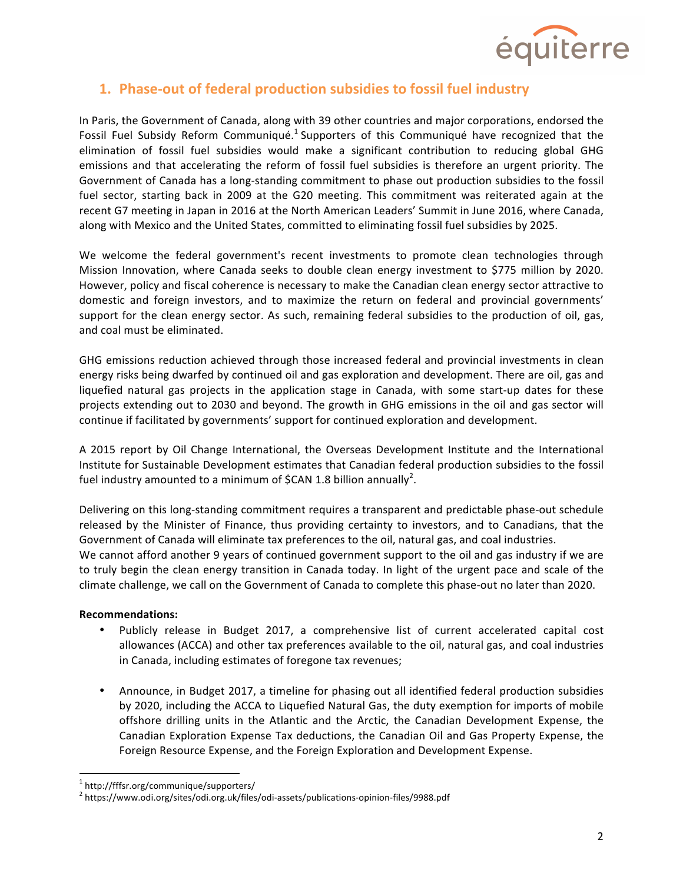

# **1. Phase-out of federal production subsidies to fossil fuel industry**

In Paris, the Government of Canada, along with 39 other countries and major corporations, endorsed the Fossil Fuel Subsidy Reform Communiqué.<sup>1</sup> Supporters of this Communiqué have recognized that the elimination of fossil fuel subsidies would make a significant contribution to reducing global GHG emissions and that accelerating the reform of fossil fuel subsidies is therefore an urgent priority. The Government of Canada has a long-standing commitment to phase out production subsidies to the fossil fuel sector, starting back in 2009 at the G20 meeting. This commitment was reiterated again at the recent G7 meeting in Japan in 2016 at the North American Leaders' Summit in June 2016, where Canada, along with Mexico and the United States, committed to eliminating fossil fuel subsidies by 2025.

We welcome the federal government's recent investments to promote clean technologies through Mission Innovation, where Canada seeks to double clean energy investment to \$775 million by 2020. However, policy and fiscal coherence is necessary to make the Canadian clean energy sector attractive to domestic and foreign investors, and to maximize the return on federal and provincial governments' support for the clean energy sector. As such, remaining federal subsidies to the production of oil, gas, and coal must be eliminated.

GHG emissions reduction achieved through those increased federal and provincial investments in clean energy risks being dwarfed by continued oil and gas exploration and development. There are oil, gas and liquefied natural gas projects in the application stage in Canada, with some start-up dates for these projects extending out to 2030 and beyond. The growth in GHG emissions in the oil and gas sector will continue if facilitated by governments' support for continued exploration and development.

A 2015 report by Oil Change International, the Overseas Development Institute and the International Institute for Sustainable Development estimates that Canadian federal production subsidies to the fossil fuel industry amounted to a minimum of \$CAN 1.8 billion annually<sup>2</sup>.

Delivering on this long-standing commitment requires a transparent and predictable phase-out schedule released by the Minister of Finance, thus providing certainty to investors, and to Canadians, that the Government of Canada will eliminate tax preferences to the oil, natural gas, and coal industries. We cannot afford another 9 years of continued government support to the oil and gas industry if we are to truly begin the clean energy transition in Canada today. In light of the urgent pace and scale of the climate challenge, we call on the Government of Canada to complete this phase-out no later than 2020.

### **Recommendations:**

- Publicly release in Budget 2017, a comprehensive list of current accelerated capital cost allowances (ACCA) and other tax preferences available to the oil, natural gas, and coal industries in Canada, including estimates of foregone tax revenues;
- Announce, in Budget 2017, a timeline for phasing out all identified federal production subsidies by 2020, including the ACCA to Liquefied Natural Gas, the duty exemption for imports of mobile offshore drilling units in the Atlantic and the Arctic, the Canadian Development Expense, the Canadian Exploration Expense Tax deductions, the Canadian Oil and Gas Property Expense, the Foreign Resource Expense, and the Foreign Exploration and Development Expense.

 <sup>1</sup> http://fffsr.org/communique/supporters/

<sup>2</sup> https://www.odi.org/sites/odi.org.uk/files/odi-assets/publications-opinion-files/9988.pdf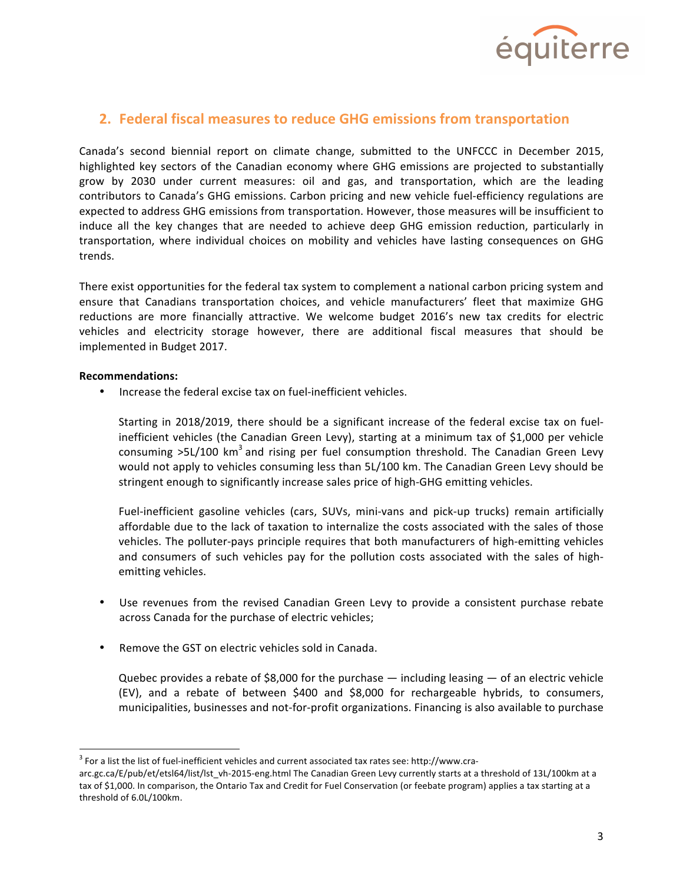

## **2. Federal fiscal measures to reduce GHG emissions from transportation**

Canada's second biennial report on climate change, submitted to the UNFCCC in December 2015, highlighted key sectors of the Canadian economy where GHG emissions are projected to substantially grow by 2030 under current measures: oil and gas, and transportation, which are the leading contributors to Canada's GHG emissions. Carbon pricing and new vehicle fuel-efficiency regulations are expected to address GHG emissions from transportation. However, those measures will be insufficient to induce all the key changes that are needed to achieve deep GHG emission reduction, particularly in transportation, where individual choices on mobility and vehicles have lasting consequences on GHG trends.

There exist opportunities for the federal tax system to complement a national carbon pricing system and ensure that Canadians transportation choices, and vehicle manufacturers' fleet that maximize GHG reductions are more financially attractive. We welcome budget 2016's new tax credits for electric vehicles and electricity storage however, there are additional fiscal measures that should be implemented in Budget 2017.

#### **Recommendations:**

Increase the federal excise tax on fuel-inefficient vehicles.

Starting in 2018/2019, there should be a significant increase of the federal excise tax on fuelinefficient vehicles (the Canadian Green Levy), starting at a minimum tax of \$1,000 per vehicle consuming  $>5L/100$  km<sup>3</sup> and rising per fuel consumption threshold. The Canadian Green Levy would not apply to vehicles consuming less than 5L/100 km. The Canadian Green Levy should be stringent enough to significantly increase sales price of high-GHG emitting vehicles.

Fuel-inefficient gasoline vehicles (cars, SUVs, mini-vans and pick-up trucks) remain artificially affordable due to the lack of taxation to internalize the costs associated with the sales of those vehicles. The polluter-pays principle requires that both manufacturers of high-emitting vehicles and consumers of such vehicles pay for the pollution costs associated with the sales of highemitting vehicles.

- Use revenues from the revised Canadian Green Levy to provide a consistent purchase rebate across Canada for the purchase of electric vehicles;
- Remove the GST on electric vehicles sold in Canada.

Quebec provides a rebate of \$8,000 for the purchase  $-$  including leasing  $-$  of an electric vehicle (EV), and a rebate of between \$400 and \$8,000 for rechargeable hybrids, to consumers, municipalities, businesses and not-for-profit organizations. Financing is also available to purchase

 $3$  For a list the list of fuel-inefficient vehicles and current associated tax rates see: http://www.cra-

arc.gc.ca/E/pub/et/etsl64/list/lst\_vh-2015-eng.html The Canadian Green Levy currently starts at a threshold of 13L/100km at a tax of \$1,000. In comparison, the Ontario Tax and Credit for Fuel Conservation (or feebate program) applies a tax starting at a threshold of 6.0L/100km.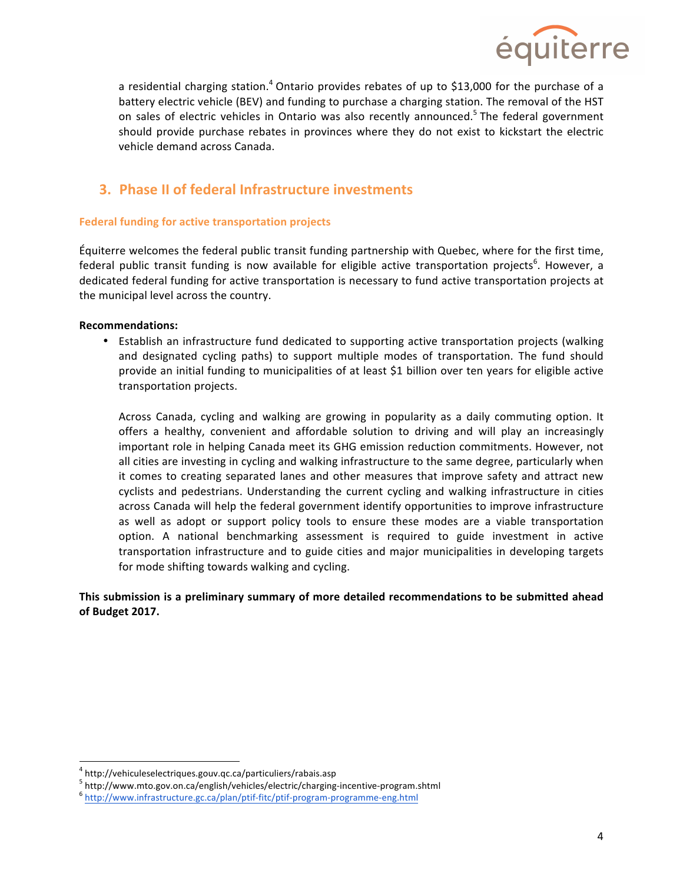

a residential charging station.<sup>4</sup> Ontario provides rebates of up to \$13,000 for the purchase of a battery electric vehicle (BEV) and funding to purchase a charging station. The removal of the HST on sales of electric vehicles in Ontario was also recently announced.<sup>5</sup> The federal government should provide purchase rebates in provinces where they do not exist to kickstart the electric vehicle demand across Canada.

# **3. Phase II of federal Infrastructure investments**

### **Federal funding for active transportation projects**

Équiterre welcomes the federal public transit funding partnership with Quebec, where for the first time, federal public transit funding is now available for eligible active transportation projects<sup>6</sup>. However, a dedicated federal funding for active transportation is necessary to fund active transportation projects at the municipal level across the country.

### **Recommendations:**

• Establish an infrastructure fund dedicated to supporting active transportation projects (walking and designated cycling paths) to support multiple modes of transportation. The fund should provide an initial funding to municipalities of at least \$1 billion over ten years for eligible active transportation projects.

Across Canada, cycling and walking are growing in popularity as a daily commuting option. It offers a healthy, convenient and affordable solution to driving and will play an increasingly important role in helping Canada meet its GHG emission reduction commitments. However, not all cities are investing in cycling and walking infrastructure to the same degree, particularly when it comes to creating separated lanes and other measures that improve safety and attract new cyclists and pedestrians. Understanding the current cycling and walking infrastructure in cities across Canada will help the federal government identify opportunities to improve infrastructure as well as adopt or support policy tools to ensure these modes are a viable transportation option. A national benchmarking assessment is required to guide investment in active transportation infrastructure and to guide cities and major municipalities in developing targets for mode shifting towards walking and cycling.

## **This submission is a preliminary summary of more detailed recommendations to be submitted ahead of Budget 2017.**

 <sup>4</sup> http://vehiculeselectriques.gouv.qc.ca/particuliers/rabais.asp

 $^5$  http://www.mto.gov.on.ca/english/vehicles/electric/charging-incentive-program.shtml<br> $^6$  http://www.infrastructure.gc.ca/plan/ptif-fitc/ptif-program-programme-eng.html